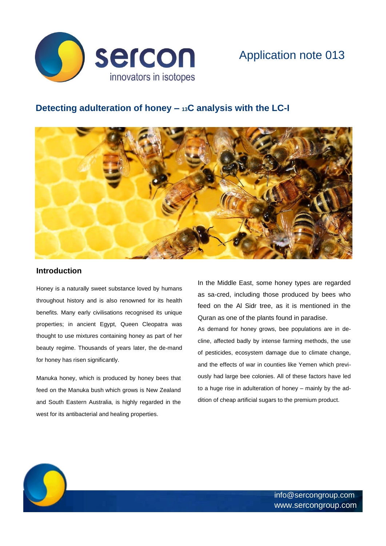

# **Detecting adulteration of honey – <sup>13</sup>C analysis with the LC-I**



#### **Introduction**

Ċ.

Honey is a naturally sweet substance loved by humans throughout history and is also renowned for its health benefits. Many early civilisations recognised its unique properties; in ancient Egypt, Queen Cleopatra was thought to use mixtures containing honey as part of her beauty regime. Thousands of years later, the de-mand for honey has risen significantly.

Manuka honey, which is produced by honey bees that feed on the Manuka bush which grows is New Zealand and South Eastern Australia, is highly regarded in the west for its antibacterial and healing properties.

In the Middle East, some honey types are regarded as sa-cred, including those produced by bees who feed on the Al Sidr tree, as it is mentioned in the Quran as one of the plants found in paradise.

As demand for honey grows, bee populations are in decline, affected badly by intense farming methods, the use of pesticides, ecosystem damage due to climate change, and the effects of war in counties like Yemen which previously had large bee colonies. All of these factors have led to a huge rise in adulteration of honey – mainly by the addition of cheap artificial sugars to the premium product.

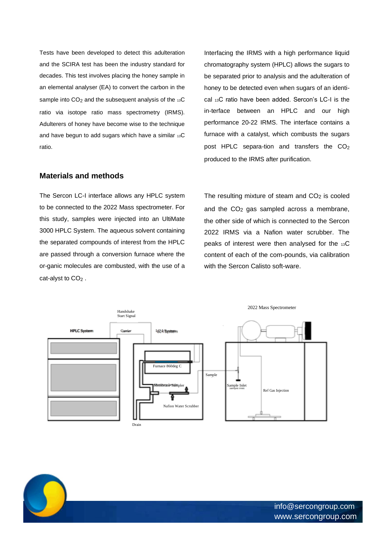Tests have been developed to detect this adulteration and the SCIRA test has been the industry standard for decades. This test involves placing the honey sample in an elemental analyser (EA) to convert the carbon in the sample into  $CO<sub>2</sub>$  and the subsequent analysis of the  $13C$ ratio via isotope ratio mass spectrometry (IRMS). Adulterers of honey have become wise to the technique and have begun to add sugars which have a similar 13C ratio.

#### **Materials and methods**

The Sercon LC-I interface allows any HPLC system to be connected to the 2022 Mass spectrometer. For this study, samples were injected into an UltiMate 3000 HPLC System. The aqueous solvent containing the separated compounds of interest from the HPLC are passed through a conversion furnace where the or-ganic molecules are combusted, with the use of a cat-alyst to  $CO<sub>2</sub>$ .

Interfacing the IRMS with a high performance liquid chromatography system (HPLC) allows the sugars to be separated prior to analysis and the adulteration of honey to be detected even when sugars of an identical 13C ratio have been added. Sercon's LC-I is the in-terface between an HPLC and our high performance 20-22 IRMS. The interface contains a furnace with a catalyst, which combusts the sugars post HPLC separa-tion and transfers the  $CO<sub>2</sub>$ produced to the IRMS after purification.

The resulting mixture of steam and  $CO<sub>2</sub>$  is cooled and the CO2 gas sampled across a membrane, the other side of which is connected to the Sercon 2022 IRMS via a Nafion water scrubber. The peaks of interest were then analysed for the 13C content of each of the com-pounds, via calibration with the Sercon Calisto soft-ware.



info@sercongroup.com www.sercongroup.com